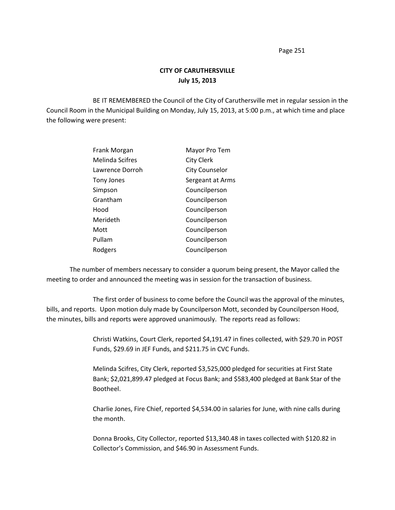Page 251

## **CITY OF CARUTHERSVILLE July 15, 2013**

BE IT REMEMBERED the Council of the City of Caruthersville met in regular session in the Council Room in the Municipal Building on Monday, July 15, 2013, at 5:00 p.m., at which time and place the following were present:

| Frank Morgan           | Mayor Pro Tem         |
|------------------------|-----------------------|
| <b>Melinda Scifres</b> | <b>City Clerk</b>     |
| Lawrence Dorroh        | <b>City Counselor</b> |
| Tony Jones             | Sergeant at Arms      |
| Simpson                | Councilperson         |
| Grantham               | Councilperson         |
| Hood                   | Councilperson         |
| Merideth               | Councilperson         |
| Mott                   | Councilperson         |
| Pullam                 | Councilperson         |
| Rodgers                | Councilperson         |

The number of members necessary to consider a quorum being present, the Mayor called the meeting to order and announced the meeting was in session for the transaction of business.

The first order of business to come before the Council was the approval of the minutes, bills, and reports. Upon motion duly made by Councilperson Mott, seconded by Councilperson Hood, the minutes, bills and reports were approved unanimously. The reports read as follows:

> Christi Watkins, Court Clerk, reported \$4,191.47 in fines collected, with \$29.70 in POST Funds, \$29.69 in JEF Funds, and \$211.75 in CVC Funds.

> Melinda Scifres, City Clerk, reported \$3,525,000 pledged for securities at First State Bank; \$2,021,899.47 pledged at Focus Bank; and \$583,400 pledged at Bank Star of the Bootheel.

> Charlie Jones, Fire Chief, reported \$4,534.00 in salaries for June, with nine calls during the month.

Donna Brooks, City Collector, reported \$13,340.48 in taxes collected with \$120.82 in Collector's Commission, and \$46.90 in Assessment Funds.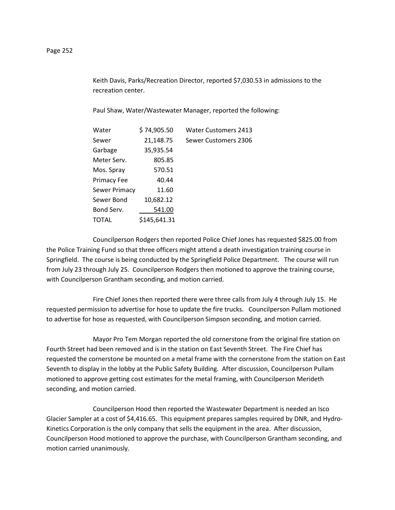Keith Davis, Parks/Recreation Director, reported \$7,030.53 in admissions to the recreation center.

Paul Shaw, Water/Wastewater Manager, reported the following:

| Water                | \$74,905.50  | <b>Water Customers 2413</b> |
|----------------------|--------------|-----------------------------|
| Sewer                | 21,148.75    | Sewer Customers 2306        |
| Garbage              | 35,935.54    |                             |
| Meter Serv.          | 805.85       |                             |
| Mos. Spray           | 570.51       |                             |
| <b>Primacy Fee</b>   | 40.44        |                             |
| <b>Sewer Primacy</b> | 11.60        |                             |
| Sewer Bond           | 10,682.12    |                             |
| Bond Serv.           | 541.00       |                             |
| TOTAL                | \$145,641.31 |                             |

Councilperson Rodgers then reported Police Chief Jones has requested \$825.00 from the Police Training Fund so that three officers might attend a death investigation training course in Springfield. The course is being conducted by the Springfield Police Department. The course will run from July 23 through July 25. Councilperson Rodgers then motioned to approve the training course, with Councilperson Grantham seconding, and motion carried.

Fire Chief Jones then reported there were three calls from July 4 through July 15. He requested permission to advertise for hose to update the fire trucks. Councilperson Pullam motioned to advertise for hose as requested, with Councilperson Simpson seconding, and motion carried.

Mayor Pro Tem Morgan reported the old cornerstone from the original fire station on Fourth Street had been removed and is in the station on East Seventh Street. The Fire Chief has requested the cornerstone be mounted on a metal frame with the cornerstone from the station on East Seventh to display in the lobby at the Public Safety Building. After discussion, Councilperson Pullam motioned to approve getting cost estimates for the metal framing, with Councilperson Merideth seconding, and motion carried.

Councilperson Hood then reported the Wastewater Department is needed an Isco Glacier Sampler at a cost of \$4,416.65. This equipment prepares samples required by DNR, and Hydro-Kinetics Corporation is the only company that sells the equipment in the area. After discussion, Councilperson Hood motioned to approve the purchase, with Councilperson Grantham seconding, and motion carried unanimously.